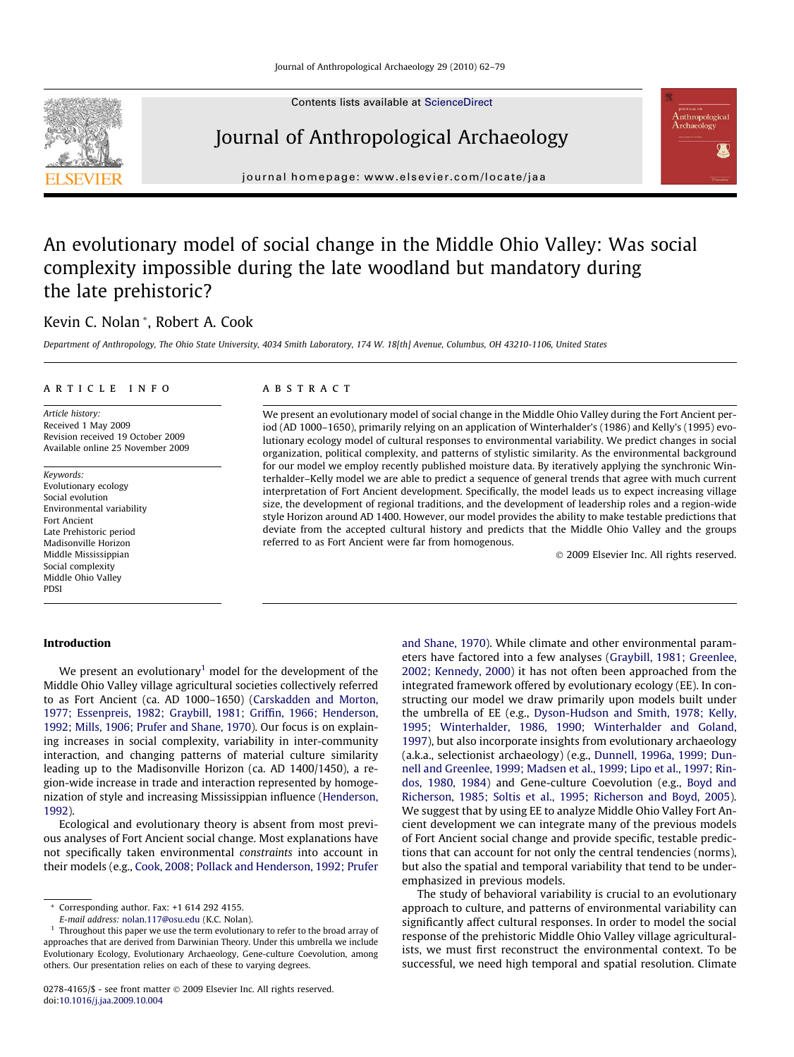Contents lists available at [ScienceDirect](http://www.sciencedirect.com/science/journal/02784165)



## Journal of Anthropological Archaeology



journal homepage: [www.elsevier.com/locate/jaa](http://www.elsevier.com/locate/jaa)

## An evolutionary model of social change in the Middle Ohio Valley: Was social complexity impossible during the late woodland but mandatory during the late prehistoric?

### Kevin C. Nolan \*, Robert A. Cook

Department of Anthropology, The Ohio State University, 4034 Smith Laboratory, 174 W. 18[th] Avenue, Columbus, OH 43210-1106, United States

#### article info

Article history: Received 1 May 2009 Revision received 19 October 2009 Available online 25 November 2009

Keywords: Evolutionary ecology Social evolution Environmental variability Fort Ancient Late Prehistoric period Madisonville Horizon Middle Mississippian Social complexity Middle Ohio Valley PDSI

Introduction

#### **ABSTRACT**

We present an evolutionary model of social change in the Middle Ohio Valley during the Fort Ancient period (AD 1000–1650), primarily relying on an application of Winterhalder's (1986) and Kelly's (1995) evolutionary ecology model of cultural responses to environmental variability. We predict changes in social organization, political complexity, and patterns of stylistic similarity. As the environmental background for our model we employ recently published moisture data. By iteratively applying the synchronic Winterhalder–Kelly model we are able to predict a sequence of general trends that agree with much current interpretation of Fort Ancient development. Specifically, the model leads us to expect increasing village size, the development of regional traditions, and the development of leadership roles and a region-wide style Horizon around AD 1400. However, our model provides the ability to make testable predictions that deviate from the accepted cultural history and predicts that the Middle Ohio Valley and the groups referred to as Fort Ancient were far from homogenous.

- 2009 Elsevier Inc. All rights reserved.

We present an evolutionary<sup>1</sup> model for the development of the Middle Ohio Valley village agricultural societies collectively referred to as Fort Ancient (ca. AD 1000–1650) [\(Carskadden and Morton,](#page--1-0) [1977; Essenpreis, 1982; Graybill, 1981; Griffin, 1966; Henderson,](#page--1-0) [1992; Mills, 1906; Prufer and Shane, 1970](#page--1-0)). Our focus is on explaining increases in social complexity, variability in inter-community interaction, and changing patterns of material culture similarity leading up to the Madisonville Horizon (ca. AD 1400/1450), a region-wide increase in trade and interaction represented by homogenization of style and increasing Mississippian influence [\(Henderson,](#page--1-0) [1992](#page--1-0)).

Ecological and evolutionary theory is absent from most previous analyses of Fort Ancient social change. Most explanations have not specifically taken environmental constraints into account in their models (e.g., [Cook, 2008; Pollack and Henderson, 1992; Prufer](#page--1-0) [and Shane, 1970](#page--1-0)). While climate and other environmental parameters have factored into a few analyses ([Graybill, 1981; Greenlee,](#page--1-0) [2002; Kennedy, 2000](#page--1-0)) it has not often been approached from the integrated framework offered by evolutionary ecology (EE). In constructing our model we draw primarily upon models built under the umbrella of EE (e.g., [Dyson-Hudson and Smith, 1978; Kelly,](#page--1-0) [1995; Winterhalder, 1986, 1990; Winterhalder and Goland,](#page--1-0) [1997\)](#page--1-0), but also incorporate insights from evolutionary archaeology (a.k.a., selectionist archaeology) (e.g., [Dunnell, 1996a, 1999; Dun](#page--1-0)[nell and Greenlee, 1999; Madsen et al., 1999; Lipo et al., 1997; Rin](#page--1-0)[dos, 1980, 1984](#page--1-0)) and Gene-culture Coevolution (e.g., [Boyd and](#page--1-0) [Richerson, 1985; Soltis et al., 1995; Richerson and Boyd, 2005\)](#page--1-0). We suggest that by using EE to analyze Middle Ohio Valley Fort Ancient development we can integrate many of the previous models of Fort Ancient social change and provide specific, testable predictions that can account for not only the central tendencies (norms), but also the spatial and temporal variability that tend to be underemphasized in previous models.

The study of behavioral variability is crucial to an evolutionary approach to culture, and patterns of environmental variability can significantly affect cultural responses. In order to model the social response of the prehistoric Middle Ohio Valley village agriculturalists, we must first reconstruct the environmental context. To be successful, we need high temporal and spatial resolution. Climate

<sup>\*</sup> Corresponding author. Fax: +1 614 292 4155.

E-mail address: [nolan.117@osu.edu](mailto:nolan.117@osu.edu) (K.C. Nolan).

 $1$  Throughout this paper we use the term evolutionary to refer to the broad array of approaches that are derived from Darwinian Theory. Under this umbrella we include Evolutionary Ecology, Evolutionary Archaeology, Gene-culture Coevolution, among others. Our presentation relies on each of these to varying degrees.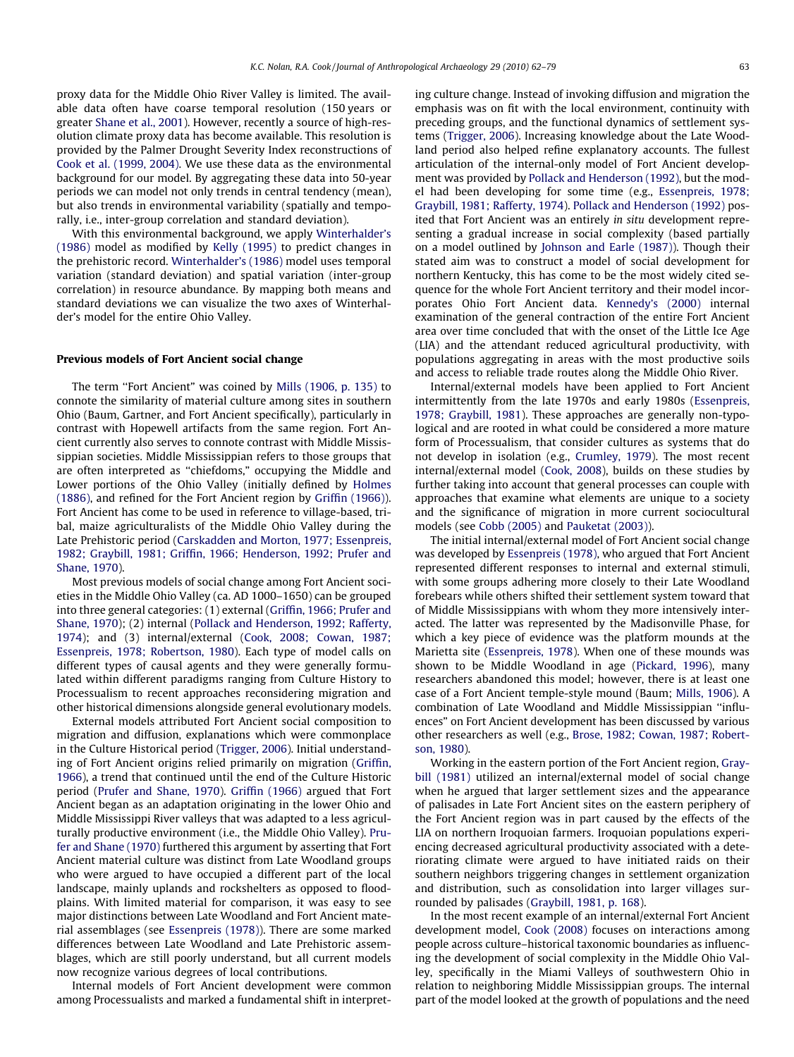proxy data for the Middle Ohio River Valley is limited. The available data often have coarse temporal resolution (150 years or greater [Shane et al., 2001\)](#page--1-0). However, recently a source of high-resolution climate proxy data has become available. This resolution is provided by the Palmer Drought Severity Index reconstructions of [Cook et al. \(1999, 2004\)](#page--1-0). We use these data as the environmental background for our model. By aggregating these data into 50-year periods we can model not only trends in central tendency (mean), but also trends in environmental variability (spatially and temporally, i.e., inter-group correlation and standard deviation).

With this environmental background, we apply [Winterhalder's](#page--1-0) [\(1986\)](#page--1-0) model as modified by [Kelly \(1995\)](#page--1-0) to predict changes in the prehistoric record. [Winterhalder's \(1986\)](#page--1-0) model uses temporal variation (standard deviation) and spatial variation (inter-group correlation) in resource abundance. By mapping both means and standard deviations we can visualize the two axes of Winterhalder's model for the entire Ohio Valley.

#### Previous models of Fort Ancient social change

The term "Fort Ancient" was coined by [Mills \(1906, p. 135\)](#page--1-0) to connote the similarity of material culture among sites in southern Ohio (Baum, Gartner, and Fort Ancient specifically), particularly in contrast with Hopewell artifacts from the same region. Fort Ancient currently also serves to connote contrast with Middle Mississippian societies. Middle Mississippian refers to those groups that are often interpreted as ''chiefdoms," occupying the Middle and Lower portions of the Ohio Valley (initially defined by [Holmes](#page--1-0) [\(1886\),](#page--1-0) and refined for the Fort Ancient region by [Griffin \(1966\)\)](#page--1-0). Fort Ancient has come to be used in reference to village-based, tribal, maize agriculturalists of the Middle Ohio Valley during the Late Prehistoric period [\(Carskadden and Morton, 1977; Essenpreis,](#page--1-0) [1982; Graybill, 1981; Griffin, 1966; Henderson, 1992; Prufer and](#page--1-0) [Shane, 1970\)](#page--1-0).

Most previous models of social change among Fort Ancient societies in the Middle Ohio Valley (ca. AD 1000–1650) can be grouped into three general categories: (1) external ([Griffin, 1966; Prufer and](#page--1-0) [Shane, 1970\)](#page--1-0); (2) internal ([Pollack and Henderson, 1992; Rafferty,](#page--1-0) [1974\)](#page--1-0); and (3) internal/external [\(Cook, 2008; Cowan, 1987;](#page--1-0) [Essenpreis, 1978; Robertson, 1980\)](#page--1-0). Each type of model calls on different types of causal agents and they were generally formulated within different paradigms ranging from Culture History to Processualism to recent approaches reconsidering migration and other historical dimensions alongside general evolutionary models.

External models attributed Fort Ancient social composition to migration and diffusion, explanations which were commonplace in the Culture Historical period [\(Trigger, 2006](#page--1-0)). Initial understanding of Fort Ancient origins relied primarily on migration [\(Griffin,](#page--1-0) [1966\)](#page--1-0), a trend that continued until the end of the Culture Historic period [\(Prufer and Shane, 1970\)](#page--1-0). [Griffin \(1966\)](#page--1-0) argued that Fort Ancient began as an adaptation originating in the lower Ohio and Middle Mississippi River valleys that was adapted to a less agriculturally productive environment (i.e., the Middle Ohio Valley). [Pru](#page--1-0)[fer and Shane \(1970\)](#page--1-0) furthered this argument by asserting that Fort Ancient material culture was distinct from Late Woodland groups who were argued to have occupied a different part of the local landscape, mainly uplands and rockshelters as opposed to floodplains. With limited material for comparison, it was easy to see major distinctions between Late Woodland and Fort Ancient material assemblages (see [Essenpreis \(1978\)](#page--1-0)). There are some marked differences between Late Woodland and Late Prehistoric assemblages, which are still poorly understand, but all current models now recognize various degrees of local contributions.

Internal models of Fort Ancient development were common among Processualists and marked a fundamental shift in interpreting culture change. Instead of invoking diffusion and migration the emphasis was on fit with the local environment, continuity with preceding groups, and the functional dynamics of settlement systems ([Trigger, 2006](#page--1-0)). Increasing knowledge about the Late Woodland period also helped refine explanatory accounts. The fullest articulation of the internal-only model of Fort Ancient development was provided by [Pollack and Henderson \(1992\),](#page--1-0) but the model had been developing for some time (e.g., [Essenpreis, 1978;](#page--1-0) [Graybill, 1981; Rafferty, 1974\)](#page--1-0). [Pollack and Henderson \(1992\)](#page--1-0) posited that Fort Ancient was an entirely in situ development representing a gradual increase in social complexity (based partially on a model outlined by [Johnson and Earle \(1987\)\)](#page--1-0). Though their stated aim was to construct a model of social development for northern Kentucky, this has come to be the most widely cited sequence for the whole Fort Ancient territory and their model incorporates Ohio Fort Ancient data. [Kennedy's \(2000\)](#page--1-0) internal examination of the general contraction of the entire Fort Ancient area over time concluded that with the onset of the Little Ice Age (LIA) and the attendant reduced agricultural productivity, with populations aggregating in areas with the most productive soils and access to reliable trade routes along the Middle Ohio River.

Internal/external models have been applied to Fort Ancient intermittently from the late 1970s and early 1980s ([Essenpreis,](#page--1-0) [1978; Graybill, 1981](#page--1-0)). These approaches are generally non-typological and are rooted in what could be considered a more mature form of Processualism, that consider cultures as systems that do not develop in isolation (e.g., [Crumley, 1979\)](#page--1-0). The most recent internal/external model ([Cook, 2008\)](#page--1-0), builds on these studies by further taking into account that general processes can couple with approaches that examine what elements are unique to a society and the significance of migration in more current sociocultural models (see [Cobb \(2005\)](#page--1-0) and [Pauketat \(2003\)\)](#page--1-0).

The initial internal/external model of Fort Ancient social change was developed by [Essenpreis \(1978\),](#page--1-0) who argued that Fort Ancient represented different responses to internal and external stimuli, with some groups adhering more closely to their Late Woodland forebears while others shifted their settlement system toward that of Middle Mississippians with whom they more intensively interacted. The latter was represented by the Madisonville Phase, for which a key piece of evidence was the platform mounds at the Marietta site [\(Essenpreis, 1978](#page--1-0)). When one of these mounds was shown to be Middle Woodland in age ([Pickard, 1996](#page--1-0)), many researchers abandoned this model; however, there is at least one case of a Fort Ancient temple-style mound (Baum; [Mills, 1906\)](#page--1-0). A combination of Late Woodland and Middle Mississippian ''influences" on Fort Ancient development has been discussed by various other researchers as well (e.g., [Brose, 1982; Cowan, 1987; Robert](#page--1-0)[son, 1980](#page--1-0)).

Working in the eastern portion of the Fort Ancient region, [Gray](#page--1-0)[bill \(1981\)](#page--1-0) utilized an internal/external model of social change when he argued that larger settlement sizes and the appearance of palisades in Late Fort Ancient sites on the eastern periphery of the Fort Ancient region was in part caused by the effects of the LIA on northern Iroquoian farmers. Iroquoian populations experiencing decreased agricultural productivity associated with a deteriorating climate were argued to have initiated raids on their southern neighbors triggering changes in settlement organization and distribution, such as consolidation into larger villages surrounded by palisades [\(Graybill, 1981, p. 168](#page--1-0)).

In the most recent example of an internal/external Fort Ancient development model, [Cook \(2008\)](#page--1-0) focuses on interactions among people across culture–historical taxonomic boundaries as influencing the development of social complexity in the Middle Ohio Valley, specifically in the Miami Valleys of southwestern Ohio in relation to neighboring Middle Mississippian groups. The internal part of the model looked at the growth of populations and the need